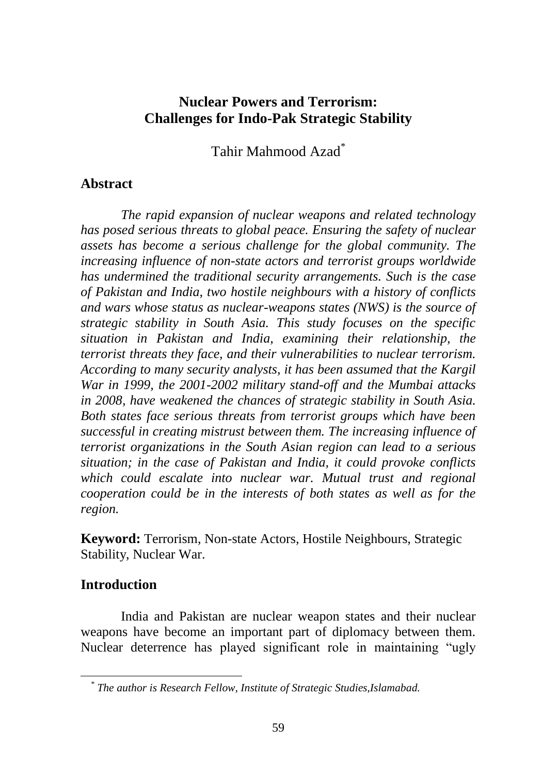# **Nuclear Powers and Terrorism: Challenges for Indo-Pak Strategic Stability**

Tahir Mahmood Azad\*

# **Abstract**

*The rapid expansion of nuclear weapons and related technology has posed serious threats to global peace. Ensuring the safety of nuclear assets has become a serious challenge for the global community. The increasing influence of non-state actors and terrorist groups worldwide has undermined the traditional security arrangements. Such is the case of Pakistan and India, two hostile neighbours with a history of conflicts and wars whose status as nuclear-weapons states (NWS) is the source of strategic stability in South Asia. This study focuses on the specific situation in Pakistan and India, examining their relationship, the terrorist threats they face, and their vulnerabilities to nuclear terrorism. According to many security analysts, it has been assumed that the Kargil War in 1999, the 2001-2002 military stand-off and the Mumbai attacks in 2008, have weakened the chances of strategic stability in South Asia. Both states face serious threats from terrorist groups which have been successful in creating mistrust between them. The increasing influence of terrorist organizations in the South Asian region can lead to a serious situation; in the case of Pakistan and India, it could provoke conflicts which could escalate into nuclear war. Mutual trust and regional cooperation could be in the interests of both states as well as for the region.*

**Keyword:** Terrorism, Non-state Actors, Hostile Neighbours, Strategic Stability, Nuclear War.

### **Introduction**

India and Pakistan are nuclear weapon states and their nuclear weapons have become an important part of diplomacy between them. Nuclear deterrence has played significant role in maintaining "ugly

*<sup>\*</sup> The author is Research Fellow, Institute of Strategic Studies,Islamabad.*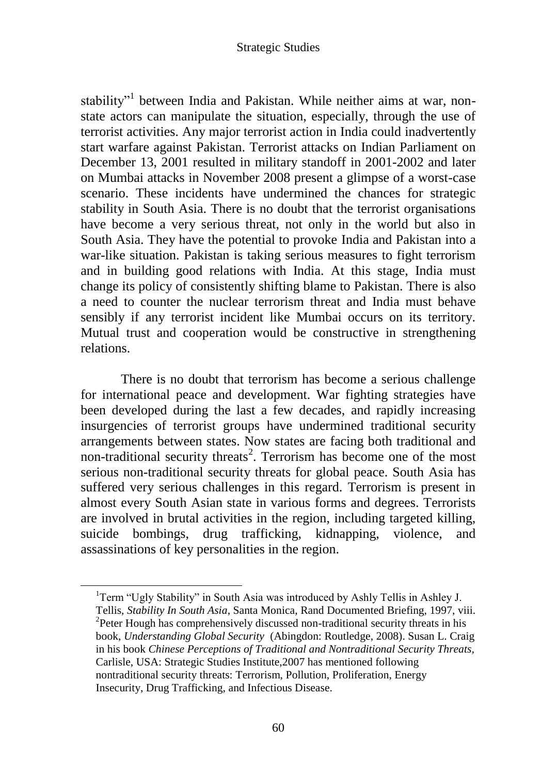stability"<sup>1</sup> between India and Pakistan. While neither aims at war, nonstate actors can manipulate the situation, especially, through the use of terrorist activities. Any major terrorist action in India could inadvertently start warfare against Pakistan. Terrorist attacks on Indian Parliament on December 13, 2001 resulted in military standoff in 2001-2002 and later on Mumbai attacks in November 2008 present a glimpse of a worst-case scenario. These incidents have undermined the chances for strategic stability in South Asia. There is no doubt that the terrorist organisations have become a very serious threat, not only in the world but also in South Asia. They have the potential to provoke India and Pakistan into a war-like situation. Pakistan is taking serious measures to fight terrorism and in building good relations with India. At this stage, India must change its policy of consistently shifting blame to Pakistan. There is also a need to counter the nuclear terrorism threat and India must behave sensibly if any terrorist incident like Mumbai occurs on its territory. Mutual trust and cooperation would be constructive in strengthening relations.

There is no doubt that terrorism has become a serious challenge for international peace and development. War fighting strategies have been developed during the last a few decades, and rapidly increasing insurgencies of terrorist groups have undermined traditional security arrangements between states. Now states are facing both traditional and non-traditional security threats<sup>2</sup>. Terrorism has become one of the most serious non-traditional security threats for global peace. South Asia has suffered very serious challenges in this regard. Terrorism is present in almost every South Asian state in various forms and degrees. Terrorists are involved in brutal activities in the region, including targeted killing, suicide bombings, drug trafficking, kidnapping, violence, and assassinations of key personalities in the region.

<sup>&</sup>lt;sup>1</sup>Term "Ugly Stability" in South Asia was introduced by Ashly Tellis in Ashley J. Tellis, *Stability In South Asia*, Santa Monica, Rand Documented Briefing, 1997, viii. <sup>2</sup>Peter Hough has comprehensively discussed non-traditional security threats in his book, *Understanding Global Security* (Abingdon: Routledge, 2008). Susan L. Craig in his book *Chinese Perceptions of Traditional and Nontraditional Security Threats,*  Carlisle, USA: Strategic Studies Institute,2007 has mentioned following nontraditional security threats: Terrorism, Pollution, Proliferation, Energy Insecurity, Drug Trafficking, and Infectious Disease.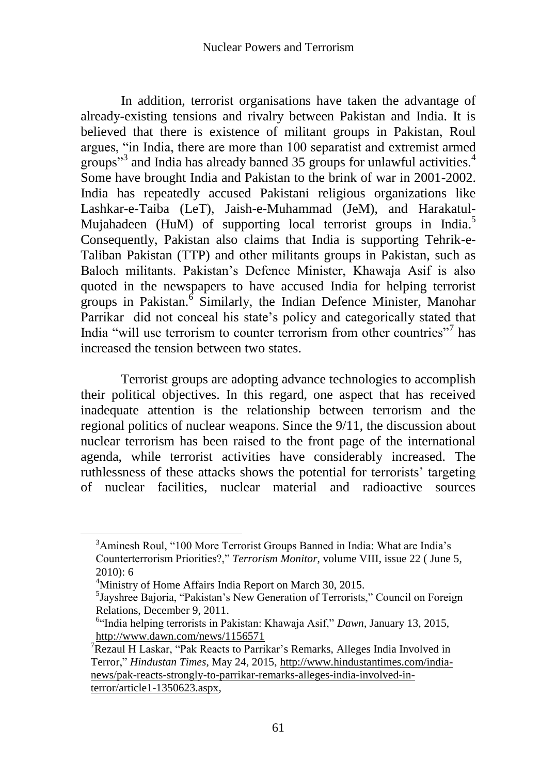In addition, terrorist organisations have taken the advantage of already-existing tensions and rivalry between Pakistan and India. It is believed that there is existence of militant groups in Pakistan, Roul argues, "in India, there are more than 100 separatist and extremist armed groups"<sup>3</sup> and India has already banned 35 groups for unlawful activities.<sup>4</sup> Some have brought India and Pakistan to the brink of war in 2001-2002. India has repeatedly accused Pakistani religious organizations like Lashkar-e-Taiba (LeT), Jaish-e-Muhammad (JeM), and Harakatul-Mujahadeen (HuM) of supporting local terrorist groups in India.<sup>5</sup> Consequently, Pakistan also claims that India is supporting Tehrik-e-Taliban Pakistan (TTP) and other militants groups in Pakistan, such as Baloch militants. Pakistan"s Defence Minister, Khawaja Asif is also quoted in the newspapers to have accused India for helping terrorist groups in Pakistan.<sup>6</sup> Similarly, the Indian Defence Minister, Manohar Parrikar did not conceal his state"s policy and categorically stated that India "will use terrorism to counter terrorism from other countries"<sup>7</sup> has increased the tension between two states.

Terrorist groups are adopting advance technologies to accomplish their political objectives. In this regard, one aspect that has received inadequate attention is the relationship between terrorism and the regional politics of nuclear weapons. Since the 9/11, the discussion about nuclear terrorism has been raised to the front page of the international agenda, while terrorist activities have considerably increased. The ruthlessness of these attacks shows the potential for terrorists' targeting of nuclear facilities, nuclear material and radioactive sources

<sup>&</sup>lt;sup>3</sup>Aminesh Roul, "100 More Terrorist Groups Banned in India: What are India's Counterterrorism Priorities?," *Terrorism Monitor*, volume VIII, issue 22 ( June 5, 2010): 6

<sup>&</sup>lt;sup>4</sup>Ministry of Home Affairs India Report on March 30, 2015.

<sup>5</sup> Jayshree Bajoria, "Pakistan"s New Generation of Terrorists," Council on Foreign Relations, December 9, 2011.

<sup>6</sup> "India helping terrorists in Pakistan: Khawaja Asif," *Dawn*, January 13, 2015, <http://www.dawn.com/news/1156571>

<sup>&</sup>lt;sup>7</sup>Rezaul H Laskar, "Pak Reacts to Parrikar's Remarks, Alleges India Involved in Terror," *Hindustan Times*, May 24, 2015, [http://www.hindustantimes.com/india](http://www.hindustantimes.com/india-news/pak-reacts-strongly-to-parrikar-remarks-alleges-india-involved-in-terror/article1-1350623.aspx)[news/pak-reacts-strongly-to-parrikar-remarks-alleges-india-involved-in](http://www.hindustantimes.com/india-news/pak-reacts-strongly-to-parrikar-remarks-alleges-india-involved-in-terror/article1-1350623.aspx)[terror/article1-1350623.aspx,](http://www.hindustantimes.com/india-news/pak-reacts-strongly-to-parrikar-remarks-alleges-india-involved-in-terror/article1-1350623.aspx)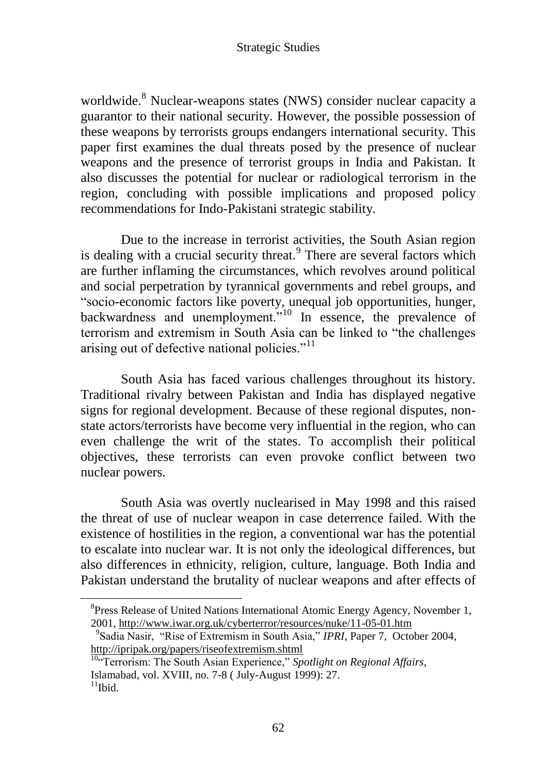worldwide.<sup>8</sup> Nuclear-weapons states (NWS) consider nuclear capacity a guarantor to their national security. However, the possible possession of these weapons by terrorists groups endangers international security. This paper first examines the dual threats posed by the presence of nuclear weapons and the presence of terrorist groups in India and Pakistan. It also discusses the potential for nuclear or radiological terrorism in the region, concluding with possible implications and proposed policy recommendations for Indo-Pakistani strategic stability.

Due to the increase in terrorist activities, the South Asian region is dealing with a crucial security threat.<sup>9</sup> There are several factors which are further inflaming the circumstances, which revolves around political and social perpetration by tyrannical governments and rebel groups, and "socio-economic factors like poverty, unequal job opportunities, hunger, backwardness and unemployment."<sup>10</sup> In essence, the prevalence of terrorism and extremism in South Asia can be linked to "the challenges arising out of defective national policies."<sup>11</sup>

South Asia has faced various challenges throughout its history. Traditional rivalry between Pakistan and India has displayed negative signs for regional development. Because of these regional disputes, nonstate actors/terrorists have become very influential in the region, who can even challenge the writ of the states. To accomplish their political objectives, these terrorists can even provoke conflict between two nuclear powers.

South Asia was overtly nuclearised in May 1998 and this raised the threat of use of nuclear weapon in case deterrence failed. With the existence of hostilities in the region, a conventional war has the potential to escalate into nuclear war. It is not only the ideological differences, but also differences in ethnicity, religion, culture, language. Both India and Pakistan understand the brutality of nuclear weapons and after effects of

<sup>&</sup>lt;sup>8</sup>Press Release of United Nations International Atomic Energy Agency, November 1, 2001,<http://www.iwar.org.uk/cyberterror/resources/nuke/11-05-01.htm>

<sup>9</sup> Sadia Nasir, "Rise of Extremism in South Asia," *IPRI,* Paper 7, October 2004, <http://ipripak.org/papers/riseofextremism.shtml>

<sup>10</sup>"Terrorism: The South Asian Experience," *Spotlight on Regional Affairs*, Islamabad, vol. XVIII, no. 7-8 ( July-August 1999): 27.  $11$ Ibid.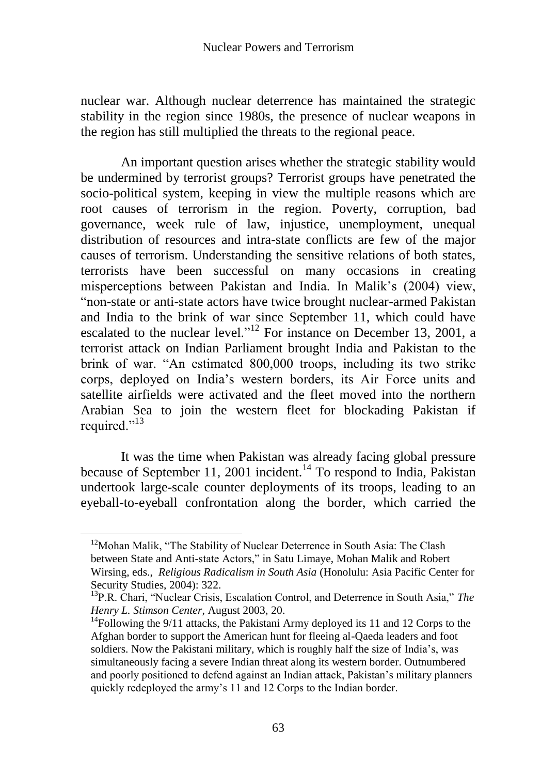nuclear war. Although nuclear deterrence has maintained the strategic stability in the region since 1980s, the presence of nuclear weapons in the region has still multiplied the threats to the regional peace.

An important question arises whether the strategic stability would be undermined by terrorist groups? Terrorist groups have penetrated the socio-political system, keeping in view the multiple reasons which are root causes of terrorism in the region. Poverty, corruption, bad governance, week rule of law, injustice, unemployment, unequal distribution of resources and intra-state conflicts are few of the major causes of terrorism. Understanding the sensitive relations of both states, terrorists have been successful on many occasions in creating misperceptions between Pakistan and India. In Malik"s (2004) view, "non-state or anti-state actors have twice brought nuclear-armed Pakistan and India to the brink of war since September 11, which could have escalated to the nuclear level."<sup>12</sup> For instance on December 13, 2001, a terrorist attack on Indian Parliament brought India and Pakistan to the brink of war. "An estimated 800,000 troops, including its two strike corps, deployed on India"s western borders, its Air Force units and satellite airfields were activated and the fleet moved into the northern Arabian Sea to join the western fleet for blockading Pakistan if required."<sup>13</sup>

It was the time when Pakistan was already facing global pressure because of September 11, 2001 incident.<sup>14</sup> To respond to India, Pakistan undertook large-scale counter deployments of its troops, leading to an eyeball-to-eyeball confrontation along the border, which carried the

 $12$ Mohan Malik, "The Stability of Nuclear Deterrence in South Asia: The Clash between State and Anti-state Actors," in Satu Limaye, Mohan Malik and Robert Wirsing, eds., *Religious Radicalism in South Asia* (Honolulu: Asia Pacific Center for Security Studies, 2004): 322.

<sup>&</sup>lt;sup>13</sup>P.R. Chari, "Nuclear Crisis, Escalation Control, and Deterrence in South Asia," The *Henry L. Stimson Center*, August 2003, 20.

<sup>&</sup>lt;sup>14</sup>Following the 9/11 attacks, the Pakistani Army deployed its 11 and 12 Corps to the Afghan border to support the American hunt for fleeing al-Qaeda leaders and foot soldiers. Now the Pakistani military, which is roughly half the size of India"s, was simultaneously facing a severe Indian threat along its western border. Outnumbered and poorly positioned to defend against an Indian attack, Pakistan"s military planners quickly redeployed the army"s 11 and 12 Corps to the Indian border.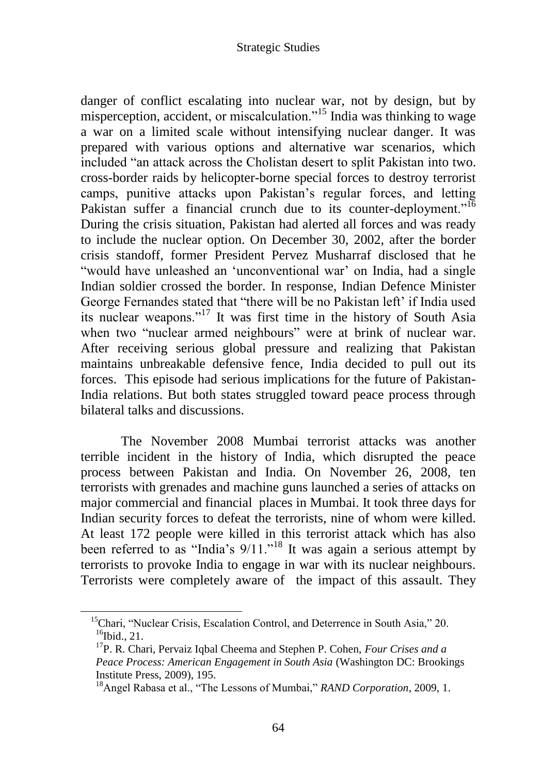danger of conflict escalating into nuclear war, not by design, but by misperception, accident, or miscalculation."<sup>15</sup> India was thinking to wage a war on a limited scale without intensifying nuclear danger. It was prepared with various options and alternative war scenarios, which included "an attack across the Cholistan desert to split Pakistan into two. cross-border raids by helicopter-borne special forces to destroy terrorist camps, punitive attacks upon Pakistan"s regular forces, and letting Pakistan suffer a financial crunch due to its counter-deployment."<sup>16</sup> During the crisis situation, Pakistan had alerted all forces and was ready to include the nuclear option. On December 30, 2002, after the border crisis standoff, former President Pervez Musharraf disclosed that he "would have unleashed an "unconventional war" on India, had a single Indian soldier crossed the border. In response, Indian Defence Minister George Fernandes stated that "there will be no Pakistan left' if India used its nuclear weapons."<sup>17</sup> It was first time in the history of South Asia when two "nuclear armed neighbours" were at brink of nuclear war. After receiving serious global pressure and realizing that Pakistan maintains unbreakable defensive fence, India decided to pull out its forces. This episode had serious implications for the future of Pakistan-India relations. But both states struggled toward peace process through bilateral talks and discussions.

The November 2008 Mumbai terrorist attacks was another terrible incident in the history of India, which disrupted the peace process between Pakistan and India. On November 26, 2008, ten terrorists with grenades and machine guns launched a series of attacks on major commercial and financial places in Mumbai. It took three days for Indian security forces to defeat the terrorists, nine of whom were killed. At least 172 people were killed in this terrorist attack which has also been referred to as "India's  $9/11$ ."<sup>18</sup> It was again a serious attempt by terrorists to provoke India to engage in war with its nuclear neighbours. Terrorists were completely aware of the impact of this assault. They

<sup>&</sup>lt;sup>15</sup>Chari, "Nuclear Crisis, Escalation Control, and Deterrence in South Asia," 20.  $16$ Ibid., 21.

<sup>17</sup>P. R. Chari, Pervaiz Iqbal Cheema and Stephen P. Cohen, *Four Crises and a Peace Process: American Engagement in South Asia* (Washington DC: Brookings Institute Press, 2009), 195.

<sup>18</sup>Angel Rabasa et al., "The Lessons of Mumbai," *RAND Corporation*, 2009, 1.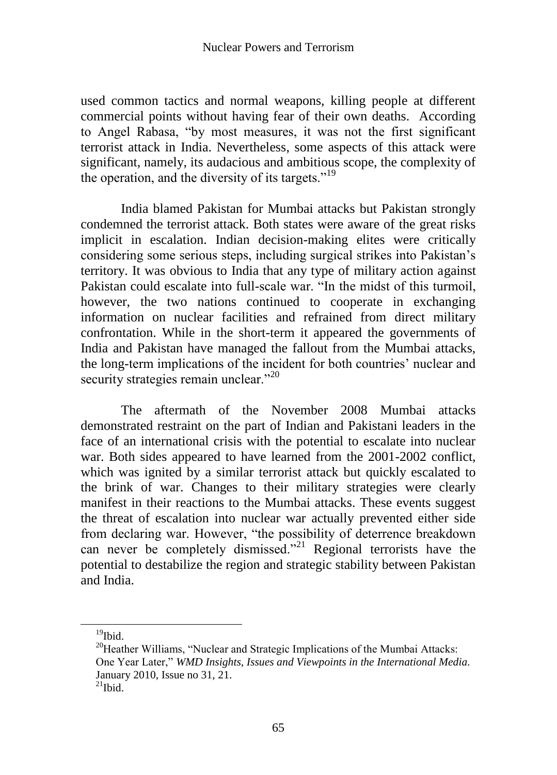used common tactics and normal weapons, killing people at different commercial points without having fear of their own deaths. According to Angel Rabasa, "by most measures, it was not the first significant terrorist attack in India. Nevertheless, some aspects of this attack were significant, namely, its audacious and ambitious scope, the complexity of the operation, and the diversity of its targets."<sup>19</sup>

India blamed Pakistan for Mumbai attacks but Pakistan strongly condemned the terrorist attack. Both states were aware of the great risks implicit in escalation. Indian decision-making elites were critically considering some serious steps, including surgical strikes into Pakistan"s territory. It was obvious to India that any type of military action against Pakistan could escalate into full-scale war. "In the midst of this turmoil, however, the two nations continued to cooperate in exchanging information on nuclear facilities and refrained from direct military confrontation. While in the short-term it appeared the governments of India and Pakistan have managed the fallout from the Mumbai attacks, the long-term implications of the incident for both countries" nuclear and security strategies remain unclear."<sup>20</sup>

The aftermath of the November 2008 Mumbai attacks demonstrated restraint on the part of Indian and Pakistani leaders in the face of an international crisis with the potential to escalate into nuclear war. Both sides appeared to have learned from the 2001-2002 conflict, which was ignited by a similar terrorist attack but quickly escalated to the brink of war. Changes to their military strategies were clearly manifest in their reactions to the Mumbai attacks. These events suggest the threat of escalation into nuclear war actually prevented either side from declaring war. However, "the possibility of deterrence breakdown can never be completely dismissed."<sup>21</sup> Regional terrorists have the potential to destabilize the region and strategic stability between Pakistan and India.

 $19$ Ibid.

 $20$ <sup>20</sup>Heather Williams, "Nuclear and Strategic Implications of the Mumbai Attacks: One Year Later," *WMD Insights, Issues and Viewpoints in the International Media.*  January 2010, Issue no 31, 21.

 $^{21}$ Ibid.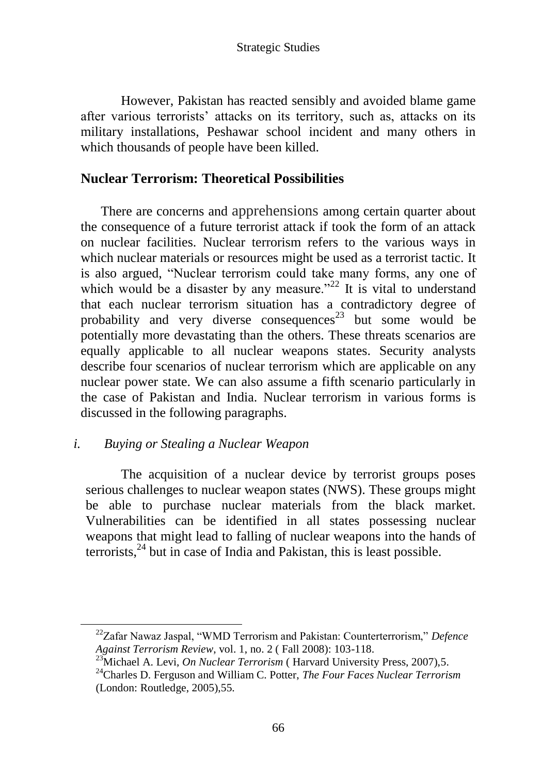However, Pakistan has reacted sensibly and avoided blame game after various terrorists' attacks on its territory, such as, attacks on its military installations, Peshawar school incident and many others in which thousands of people have been killed.

# **Nuclear Terrorism: Theoretical Possibilities**

There are concerns and apprehensions among certain quarter about the consequence of a future terrorist attack if took the form of an attack on nuclear facilities. Nuclear terrorism refers to the various ways in which nuclear materials or resources might be used as a terrorist tactic. It is also argued, "Nuclear terrorism could take many forms, any one of which would be a disaster by any measure."<sup>22</sup> It is vital to understand that each nuclear terrorism situation has a contradictory degree of probability and very diverse consequences<sup>23</sup> but some would be potentially more devastating than the others. These threats scenarios are equally applicable to all nuclear weapons states. Security analysts describe four scenarios of nuclear terrorism which are applicable on any nuclear power state. We can also assume a fifth scenario particularly in the case of Pakistan and India. Nuclear terrorism in various forms is discussed in the following paragraphs.

### *i. Buying or Stealing a Nuclear Weapon*

 $\overline{a}$ 

The acquisition of a nuclear device by terrorist groups poses serious challenges to nuclear weapon states (NWS). These groups might be able to purchase nuclear materials from the black market. Vulnerabilities can be identified in all states possessing nuclear weapons that might lead to falling of nuclear weapons into the hands of  $\arccos(24)$  but in case of India and Pakistan, this is least possible.

<sup>22</sup>Zafar Nawaz Jaspal, "WMD Terrorism and Pakistan: Counterterrorism," *Defence Against Terrorism Review*, vol. 1, no. 2 ( Fall 2008): 103-118.

<sup>&</sup>lt;sup>23</sup>Michael A. Levi, *On Nuclear Terrorism* ( Harvard University Press, 2007),5.

<sup>24</sup>Charles D. Ferguson and William C. Potter, *The Four Faces Nuclear Terrorism* (London: Routledge, 2005),55.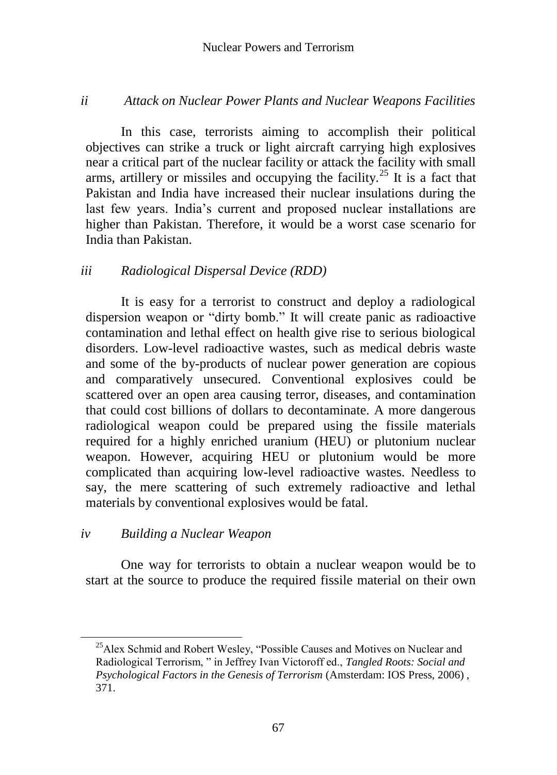### *ii Attack on Nuclear Power Plants and Nuclear Weapons Facilities*

In this case, terrorists aiming to accomplish their political objectives can strike a truck or light aircraft carrying high explosives near a critical part of the nuclear facility or attack the facility with small arms, artillery or missiles and occupying the facility.<sup>25</sup> It is a fact that Pakistan and India have increased their nuclear insulations during the last few years. India"s current and proposed nuclear installations are higher than Pakistan. Therefore, it would be a worst case scenario for India than Pakistan.

### *iii Radiological Dispersal Device (RDD)*

It is easy for a terrorist to construct and deploy a radiological dispersion weapon or "dirty bomb." It will create panic as radioactive contamination and lethal effect on health give rise to serious biological disorders. Low-level radioactive wastes, such as medical debris waste and some of the by-products of nuclear power generation are copious and comparatively unsecured. Conventional explosives could be scattered over an open area causing terror, diseases, and contamination that could cost billions of dollars to decontaminate. A more dangerous radiological weapon could be prepared using the fissile materials required for a highly enriched uranium (HEU) or plutonium nuclear weapon. However, acquiring HEU or plutonium would be more complicated than acquiring low-level radioactive wastes. Needless to say, the mere scattering of such extremely radioactive and lethal materials by conventional explosives would be fatal.

### *iv Building a Nuclear Weapon*

One way for terrorists to obtain a nuclear weapon would be to start at the source to produce the required fissile material on their own

<sup>&</sup>lt;sup>25</sup>Alex Schmid and Robert Wesley, "Possible Causes and Motives on Nuclear and Radiological Terrorism, " in Jeffrey Ivan Victoroff ed., *Tangled Roots: Social and Psychological Factors in the Genesis of Terrorism* (Amsterdam: IOS Press, 2006) , 371.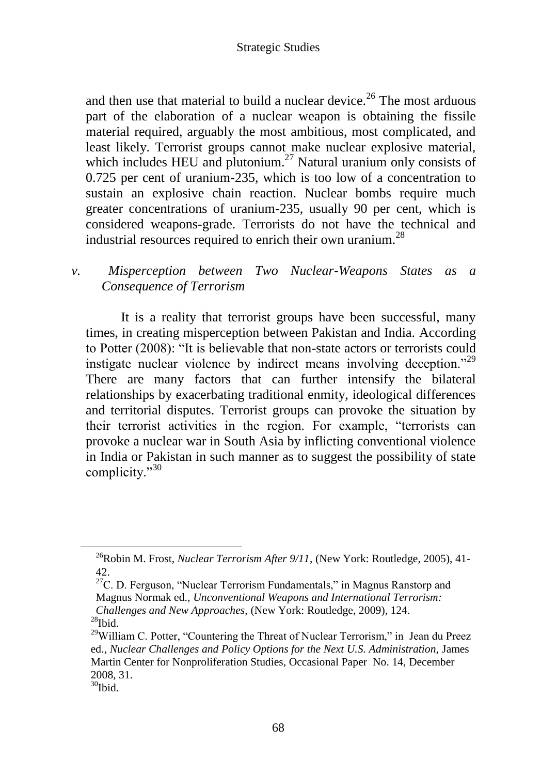and then use that material to build a nuclear device.<sup>26</sup> The most arduous part of the elaboration of a nuclear weapon is obtaining the fissile material required, arguably the most ambitious, most complicated, and least likely. Terrorist groups cannot make nuclear explosive material, which includes HEU and plutonium.<sup>27</sup> Natural uranium only consists of 0.725 per cent of uranium-235, which is too low of a concentration to sustain an explosive chain reaction. Nuclear bombs require much greater concentrations of uranium-235, usually 90 per cent, which is considered weapons-grade. Terrorists do not have the technical and industrial resources required to enrich their own uranium.<sup>28</sup>

### *v. Misperception between Two Nuclear-Weapons States as a Consequence of Terrorism*

It is a reality that terrorist groups have been successful, many times, in creating misperception between Pakistan and India. According to Potter (2008): "It is believable that non-state actors or terrorists could instigate nuclear violence by indirect means involving deception."<sup>29</sup> There are many factors that can further intensify the bilateral relationships by exacerbating traditional enmity, ideological differences and territorial disputes. Terrorist groups can provoke the situation by their terrorist activities in the region. For example, "terrorists can provoke a nuclear war in South Asia by inflicting conventional violence in India or Pakistan in such manner as to suggest the possibility of state complicity."<sup>30</sup>

<sup>26</sup>Robin M. Frost, *Nuclear Terrorism After 9/11*, (New York: Routledge, 2005), 41- 42.

 $27C$ . D. Ferguson, "Nuclear Terrorism Fundamentals," in Magnus Ranstorp and Magnus Normak ed., *Unconventional Weapons and International Terrorism: Challenges and New Approaches,* (New York: Routledge, 2009), 124.  $28$ Ibid.

 $29$ William C. Potter, "Countering the Threat of Nuclear Terrorism," in Jean du Preez ed., *Nuclear Challenges and Policy Options for the Next U.S. Administration,* James Martin Center for Nonproliferation Studies, Occasional Paper No. 14, December 2008, 31.

 $30$ Ibid.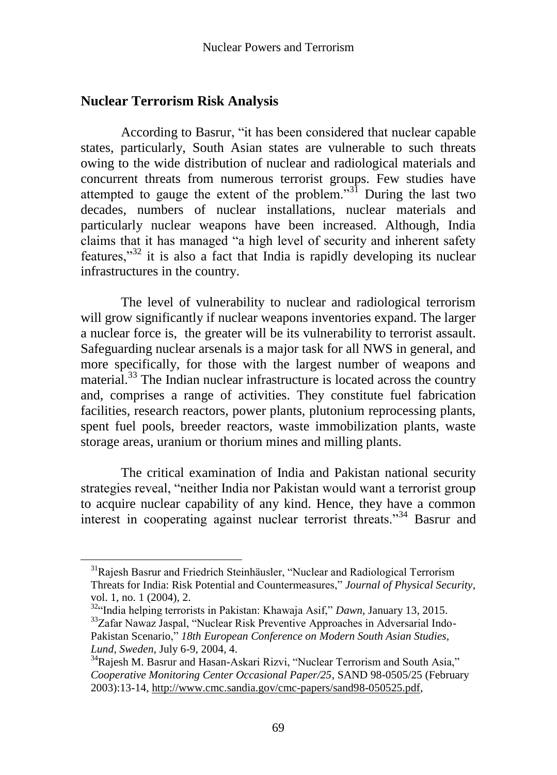# **Nuclear Terrorism Risk Analysis**

According to Basrur, "it has been considered that nuclear capable states, particularly, South Asian states are vulnerable to such threats owing to the wide distribution of nuclear and radiological materials and concurrent threats from numerous terrorist groups. Few studies have attempted to gauge the extent of the problem.<sup>331</sup> During the last two decades, numbers of nuclear installations, nuclear materials and particularly nuclear weapons have been increased. Although, India claims that it has managed "a high level of security and inherent safety features,"<sup>32</sup> it is also a fact that India is rapidly developing its nuclear infrastructures in the country.

The level of vulnerability to nuclear and radiological terrorism will grow significantly if nuclear weapons inventories expand. The larger a nuclear force is, the greater will be its vulnerability to terrorist assault. Safeguarding nuclear arsenals is a major task for all NWS in general, and more specifically, for those with the largest number of weapons and material.<sup>33</sup> The Indian nuclear infrastructure is located across the country and, comprises a range of activities. They constitute fuel fabrication facilities, research reactors, power plants, plutonium reprocessing plants, spent fuel pools, breeder reactors, waste immobilization plants, waste storage areas, uranium or thorium mines and milling plants.

The critical examination of India and Pakistan national security strategies reveal, "neither India nor Pakistan would want a terrorist group to acquire nuclear capability of any kind. Hence, they have a common interest in cooperating against nuclear terrorist threats."<sup>34</sup> Basrur and

<sup>&</sup>lt;sup>31</sup>Rajesh Basrur and Friedrich Steinhäusler, "Nuclear and Radiological Terrorism Threats for India: Risk Potential and Countermeasures," *Journal of Physical Security*, vol. 1, no. 1 (2004), 2.

<sup>32</sup>"India helping terrorists in Pakistan: Khawaja Asif," *Dawn*, January 13, 2015. <sup>33</sup>Zafar Nawaz Jaspal, "Nuclear Risk Preventive Approaches in Adversarial Indo-Pakistan Scenario," *18th European Conference on Modern South Asian Studies, Lund, Sweden*, July 6-9, 2004, 4.

<sup>&</sup>lt;sup>34</sup>Rajesh M. Basrur and Hasan-Askari Rizvi, "Nuclear Terrorism and South Asia," *Cooperative Monitoring Center Occasional Paper/25*, SAND 98-0505/25 (February 2003):13-14[, http://www.cmc.sandia.gov/cmc-papers/sand98-050525.pdf,](http://www.cmc.sandia.gov/cmc-papers/sand98-050525.pdf)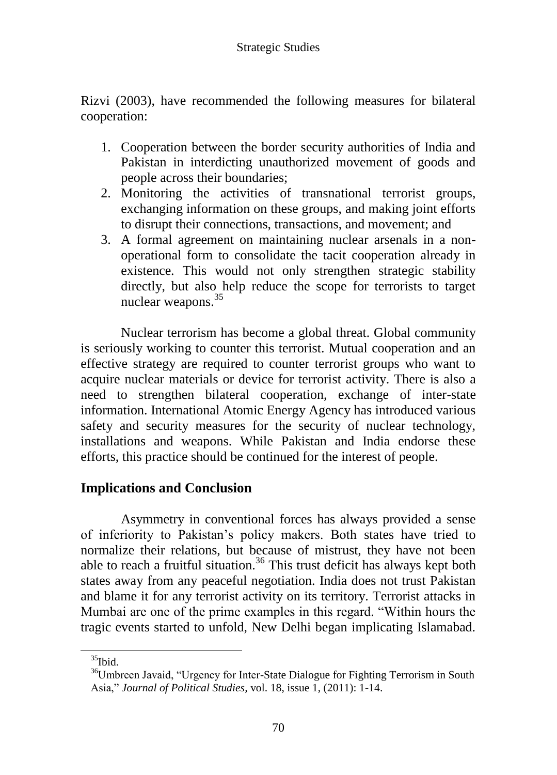Rizvi (2003), have recommended the following measures for bilateral cooperation:

- 1. Cooperation between the border security authorities of India and Pakistan in interdicting unauthorized movement of goods and people across their boundaries;
- 2. Monitoring the activities of transnational terrorist groups, exchanging information on these groups, and making joint efforts to disrupt their connections, transactions, and movement; and
- 3. A formal agreement on maintaining nuclear arsenals in a nonoperational form to consolidate the tacit cooperation already in existence. This would not only strengthen strategic stability directly, but also help reduce the scope for terrorists to target nuclear weapons.<sup>35</sup>

Nuclear terrorism has become a global threat. Global community is seriously working to counter this terrorist. Mutual cooperation and an effective strategy are required to counter terrorist groups who want to acquire nuclear materials or device for terrorist activity. There is also a need to strengthen bilateral cooperation, exchange of inter-state information. International Atomic Energy Agency has introduced various safety and security measures for the security of nuclear technology, installations and weapons. While Pakistan and India endorse these efforts, this practice should be continued for the interest of people.

# **Implications and Conclusion**

Asymmetry in conventional forces has always provided a sense of inferiority to Pakistan"s policy makers. Both states have tried to normalize their relations, but because of mistrust, they have not been able to reach a fruitful situation.<sup>36</sup> This trust deficit has always kept both states away from any peaceful negotiation. India does not trust Pakistan and blame it for any terrorist activity on its territory. Terrorist attacks in Mumbai are one of the prime examples in this regard. "Within hours the tragic events started to unfold, New Delhi began implicating Islamabad.

 $35$ Ibid.

<sup>&</sup>lt;sup>36</sup>Umbreen Javaid, "Urgency for Inter-State Dialogue for Fighting Terrorism in South Asia," *Journal of Political Studies,* vol. 18, issue 1, (2011): 1-14.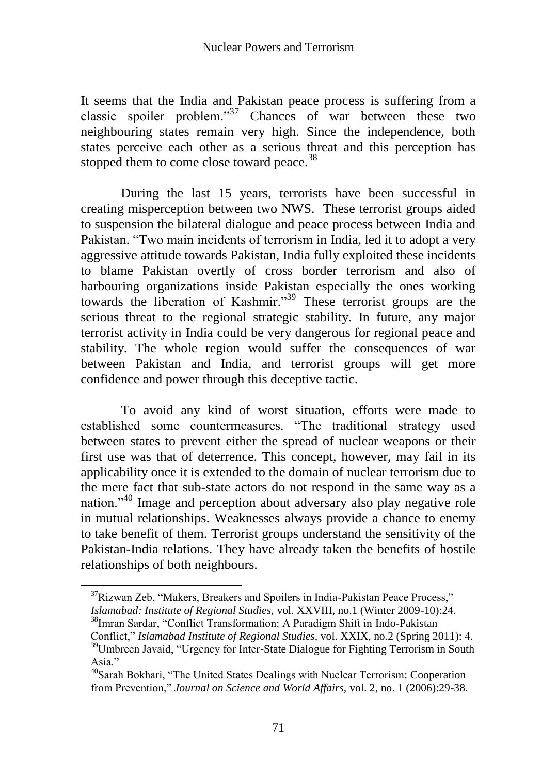It seems that the India and Pakistan peace process is suffering from a classic spoiler problem."<sup>37</sup> Chances of war between these two neighbouring states remain very high. Since the independence, both states perceive each other as a serious threat and this perception has stopped them to come close toward peace.<sup>38</sup>

During the last 15 years, terrorists have been successful in creating misperception between two NWS. These terrorist groups aided to suspension the bilateral dialogue and peace process between India and Pakistan. "Two main incidents of terrorism in India, led it to adopt a very aggressive attitude towards Pakistan, India fully exploited these incidents to blame Pakistan overtly of cross border terrorism and also of harbouring organizations inside Pakistan especially the ones working towards the liberation of Kashmir."<sup>39</sup> These terrorist groups are the serious threat to the regional strategic stability. In future, any major terrorist activity in India could be very dangerous for regional peace and stability. The whole region would suffer the consequences of war between Pakistan and India, and terrorist groups will get more confidence and power through this deceptive tactic.

To avoid any kind of worst situation, efforts were made to established some countermeasures. "The traditional strategy used between states to prevent either the spread of nuclear weapons or their first use was that of deterrence. This concept, however, may fail in its applicability once it is extended to the domain of nuclear terrorism due to the mere fact that sub-state actors do not respond in the same way as a nation."<sup>40</sup> Image and perception about adversary also play negative role in mutual relationships. Weaknesses always provide a chance to enemy to take benefit of them. Terrorist groups understand the sensitivity of the Pakistan-India relations. They have already taken the benefits of hostile relationships of both neighbours.

 $37$ Rizwan Zeb, "Makers, Breakers and Spoilers in India-Pakistan Peace Process," *Islamabad: Institute of Regional Studies,* vol. XXVIII, no.1 (Winter 2009-10):24.

<sup>&</sup>lt;sup>38</sup>Imran Sardar, "Conflict Transformation: A Paradigm Shift in Indo-Pakistan Conflict," *Islamabad Institute of Regional Studies,* vol. XXIX, no.2 (Spring 2011): 4.

<sup>&</sup>lt;sup>39</sup>Umbreen Javaid, "Urgency for Inter-State Dialogue for Fighting Terrorism in South Asia."

<sup>40</sup>Sarah Bokhari, "The United States Dealings with Nuclear Terrorism: Cooperation from Prevention," *Journal on Science and World Affairs,* vol. 2, no. 1 (2006):29-38.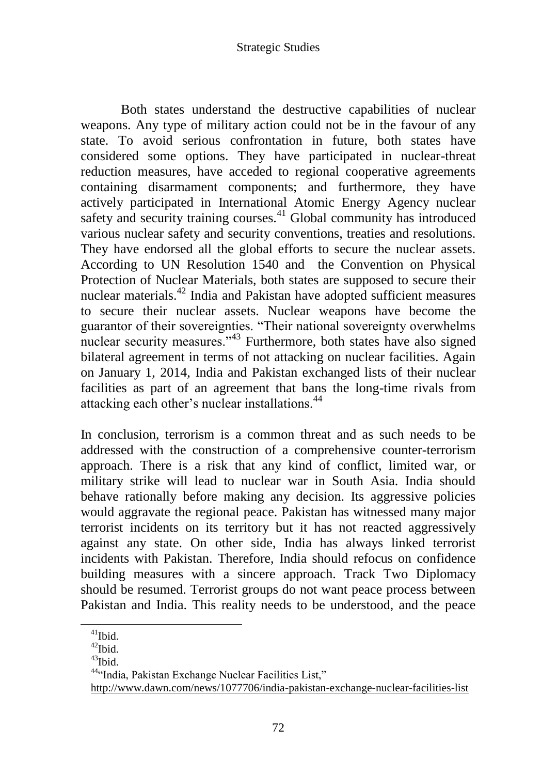Both states understand the destructive capabilities of nuclear weapons. Any type of military action could not be in the favour of any state. To avoid serious confrontation in future, both states have considered some options. They have participated in nuclear-threat reduction measures, have acceded to regional cooperative agreements containing disarmament components; and furthermore, they have actively participated in International Atomic Energy Agency nuclear safety and security training courses.<sup>41</sup> Global community has introduced various nuclear safety and security conventions, treaties and resolutions. They have endorsed all the global efforts to secure the nuclear assets. According to UN Resolution 1540 and the Convention on Physical Protection of Nuclear Materials, both states are supposed to secure their nuclear materials.<sup>42</sup> India and Pakistan have adopted sufficient measures to secure their nuclear assets. Nuclear weapons have become the guarantor of their sovereignties. "Their national sovereignty overwhelms nuclear security measures."<sup>43</sup> Furthermore, both states have also signed bilateral agreement in terms of not attacking on nuclear facilities. Again on January 1, 2014, India and Pakistan exchanged lists of their nuclear facilities as part of an agreement that bans the long-time rivals from attacking each other"s nuclear installations.<sup>44</sup>

In conclusion, terrorism is a common threat and as such needs to be addressed with the construction of a comprehensive counter-terrorism approach. There is a risk that any kind of conflict, limited war, or military strike will lead to nuclear war in South Asia. India should behave rationally before making any decision. Its aggressive policies would aggravate the regional peace. Pakistan has witnessed many major terrorist incidents on its territory but it has not reacted aggressively against any state. On other side, India has always linked terrorist incidents with Pakistan. Therefore, India should refocus on confidence building measures with a sincere approach. Track Two Diplomacy should be resumed. Terrorist groups do not want peace process between Pakistan and India. This reality needs to be understood, and the peace

 $41$ Ibid.

 $42$ Ibid.

 $43$ Ibid.

<sup>44</sup>"India, Pakistan Exchange Nuclear Facilities List," <http://www.dawn.com/news/1077706/india-pakistan-exchange-nuclear-facilities-list>